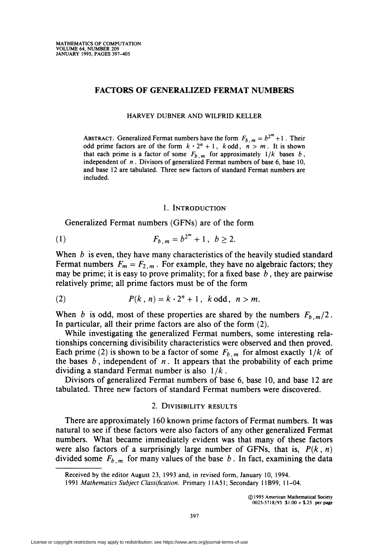# FACTORS OF GENERALIZED FERMAT NUMBERS

HARVEY DUBNER AND WILFRID KELLER

ABSTRACT. Generalized Fermat numbers have the form  $F_{b,m} = b^{2^m} + 1$ . Their odd prime factors are of the form  $k \cdot 2^n + 1$ , k odd,  $n > m$ . It is shown that each prime is a factor of some  $F_{b,m}$  for approximately  $1/k$  bases b, independent of  $n$ . Divisors of generalized Fermat numbers of base 6, base 10, and base 12 are tabulated. Three new factors of standard Fermat numbers are included.

#### 1. Introduction

Generalized Fermat numbers (GFNs) are of the form

(1) 
$$
F_{b,m} = b^{2^m} + 1, \ b \ge 2.
$$

When  $b$  is even, they have many characteristics of the heavily studied standard Fermat numbers  $F_m = F_{2,m}$ . For example, they have no algebraic factors; they may be prime; it is easy to prove primality; for a fixed base  $b$ , they are pairwise relatively prime; all prime factors must be of the form

$$
(2) \hspace{1cm} P(k,n) = k \cdot 2^n + 1 \,, \hspace{1cm} k \text{ odd} \,, \hspace{1cm} n > m.
$$

When b is odd, most of these properties are shared by the numbers  $F_{b,m}/2$ . In particular, all their prime factors are also of the form (2).

While investigating the generalized Fermat numbers, some interesting relationships concerning divisibility characteristics were observed and then proved. Each prime (2) is shown to be a factor of some  $F_{b,m}$  for almost exactly  $1/k$  of the bases  $b$ , independent of  $n$ . It appears that the probability of each prime dividing a standard Fermat number is also  $1/k$ .

Divisors of generalized Fermat numbers of base 6, base 10, and base 12 are tabulated. Three new factors of standard Fermat numbers were discovered.

# 2. Divisibility results

There are approximately 160 known prime factors of Fermat numbers. It was natural to see if these factors were also factors of any other generalized Fermât numbers. What became immediately evident was that many of these factors were also factors of a surprisingly large number of GFNs, that is,  $P(k, n)$ divided some  $F_{b,m}$  for many values of the base b. In fact, examining the data

Received by the editor August 23, 1993 and, in revised form, January 10, 1994.

<sup>1991</sup> Mathematics Subject Classification. Primary 11A51; Secondary 11B99, 11-04.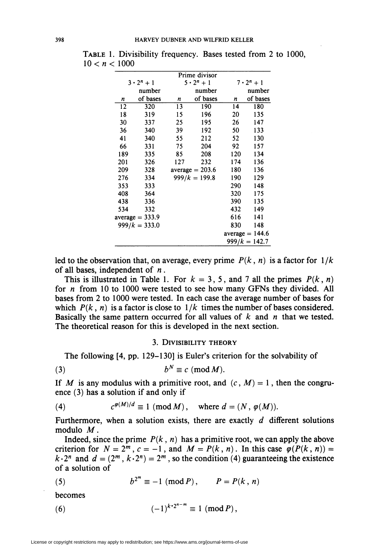| Prime divisor |                   |     |                   |                   |                   |  |  |
|---------------|-------------------|-----|-------------------|-------------------|-------------------|--|--|
|               | $3 \cdot 2^n + 1$ |     | $5 \cdot 2^n + 1$ | $7 \cdot 2^n + 1$ |                   |  |  |
|               | number            |     | number            |                   | number            |  |  |
| n             | of bases          | n   | of bases          | n                 | of bases          |  |  |
| 12            | 320               | 13  | 190               | 14                | 180               |  |  |
| 18            | 319               | 15  | 196               | 20                | 135               |  |  |
| 30            | 337               | 25  | 195               | 26                | 147               |  |  |
| 36            | 340               | 39  | 192               | 50                | 133               |  |  |
| 41            | 340               | 55  | 212               | 52                | 130               |  |  |
| 66            | 331               | 75  | 204               | 92                | 157               |  |  |
| 189           | 335               | 85  | 208               | 120               | 134               |  |  |
| 201           | 326               | 127 | 232               | 174               | 136               |  |  |
| 209           | 328               |     | $average = 203.6$ | 180               | 136               |  |  |
| 276           | 334               |     | $999/k = 199.8$   | 190               | 129               |  |  |
| 353           | 333               |     |                   | 290               | 148               |  |  |
| 408           | 364               |     |                   | 320               | 175               |  |  |
| 438           | 336               |     |                   | 390               | 135               |  |  |
| 534           | 332               |     |                   | 432               | 149               |  |  |
|               | $average = 333.9$ |     |                   | 616               | 141               |  |  |
|               | $999/k = 333.0$   |     |                   | 830               | 148               |  |  |
|               |                   |     |                   |                   | $average = 144.6$ |  |  |
|               |                   |     |                   |                   | $999/k = 142.7$   |  |  |

Table 1. Divisibility frequency. Bases tested from 2 to 1000,  $10 < n < 1000$ 

led to the observation that, on average, every prime  $P(k, n)$  is a factor for  $1/k$ of all bases, independent of  $n$ .

This is illustrated in Table 1. For  $k = 3, 5$ , and 7 all the primes  $P(k, n)$ for  $n$  from 10 to 1000 were tested to see how many GFNs they divided. All bases from 2 to 1000 were tested. In each case the average number of bases for which  $P(k, n)$  is a factor is close to  $1/k$  times the number of bases considered. Basically the same pattern occurred for all values of  $k$  and  $n$  that we tested. The theoretical reason for this is developed in the next section.

## 3. Divisibility theory

The following [4, pp. 129-130] is Euler's criterion for the solvability of

$$
(3) \t b^N \equiv c \pmod{M}.
$$

If M is any modulus with a primitive root, and  $(c, M) = 1$ , then the congruence (3) has a solution if and only if

(4) 
$$
c^{\varphi(M)/d} \equiv 1 \pmod{M}, \text{ where } d = (N, \varphi(M)).
$$

Furthermore, when a solution exists, there are exactly  $d$  different solutions modulo M.

Indeed, since the prime  $P(k, n)$  has a primitive root, we can apply the above criterion for  $N = 2^m$ ,  $c = -1$ , and  $M = P(k, n)$ . In this case  $\varphi(P(k, n)) =$  $k \cdot 2^n$  and  $d = (2^m, k \cdot 2^n) = 2^m$ , so the condition (4) guaranteeing the existence of a solution of

(5) 
$$
b^{2^m} \equiv -1 \pmod{P}, \qquad P = P(k, n)
$$

becomes

(6) 
$$
(-1)^{k \cdot 2^{n-m}} \equiv 1 \pmod{P},
$$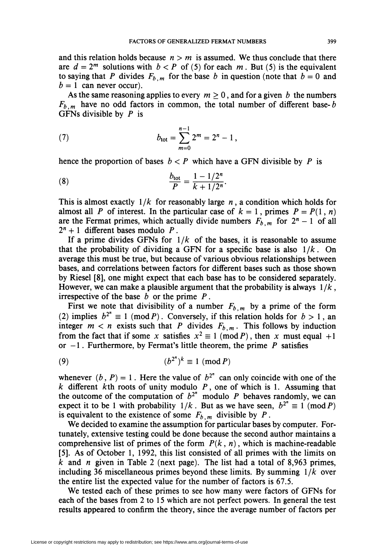and this relation holds because  $n > m$  is assumed. We thus conclude that there are  $d = 2^m$  solutions with  $b < P$  of (5) for each m. But (5) is the equivalent to saying that P divides  $F_{b,m}$  for the base b in question (note that  $b=0$  and  $b = 1$  can never occur).

As the same reasoning applies to every  $m \geq 0$ , and for a given b the numbers  $F_{b,m}$  have no odd factors in common, the total number of different base- $b$ GFNs divisible by  $P$  is

(7) 
$$
b_{\text{tot}} = \sum_{m=0}^{n-1} 2^m = 2^n - 1,
$$

hence the proportion of bases  $b < P$  which have a GFN divisible by P is

(8) 
$$
\frac{b_{\text{tot}}}{P} = \frac{1 - 1/2^n}{k + 1/2^n}.
$$

This is almost exactly  $1/k$  for reasonably large n, a condition which holds for almost all P of interest. In the particular case of  $k = 1$ , primes  $P = P(1, n)$ are the Fermat primes, which actually divide numbers  $F_{b,m}$  for  $2^{n} - 1$  of all  $2^{n} + 1$  different bases modulo P.

If a prime divides GFNs for  $1/k$  of the bases, it is reasonable to assume that the probability of dividing a GFN for a specific base is also  $1/k$ . On average this must be true, but because of various obvious relationships between bases, and correlations between factors for different bases such as those shown by Riesel [8], one might expect that each base has to be considered separately. However, we can make a plausible argument that the probability is always  $1/k$ . irrespective of the base  $b$  or the prime  $P$ .

First we note that divisibility of a number  $F_{b,m}$  by a prime of the form (2) implies  $b^{2^n} \equiv 1 \pmod{P}$ . Conversely, if this relation holds for  $b > 1$ , an integer  $m < n$  exists such that P divides  $F_{b,m}$ . This follows by induction from the fact that if some x satisfies  $x^2 \equiv 1 \pmod{P}$ , then x must equal +1 or  $-1$ . Furthermore, by Fermat's little theorem, the prime P satisfies

$$
(9) \qquad \qquad (b^{2^n})^k \equiv 1 \pmod{P}
$$

whenever  $(b, P) = 1$ . Here the value of  $b^{2^n}$  can only coincide with one of the  $k$  different  $k$ th roots of unity modulo  $P$ , one of which is 1. Assuming that the outcome of the computation of  $b^{2^n}$  modulo P behaves randomly, we can expect it to be 1 with probability  $1/k$ . But as we have seen,  $b^{2^n} \equiv 1 \pmod{P}$ is equivalent to the existence of some  $F_{b,m}$  divisible by P.

We decided to examine the assumption for particular bases by computer. Fortunately, extensive testing could be done because the second author maintains a comprehensive list of primes of the form  $P(k, n)$ , which is machine-readable [5]. As of October 1, 1992, this list consisted of all primes with the limits on k and n given in Table 2 (next page). The list had a total of 8,963 primes, including 36 miscellaneous primes beyond these limits. By summing  $1/k$  over the entire list the expected value for the number of factors is 67.5.

We tested each of these primes to see how many were factors of GFNs for each of the bases from 2 to 15 which are not perfect powers. In general the test results appeared to confirm the theory, since the average number of factors per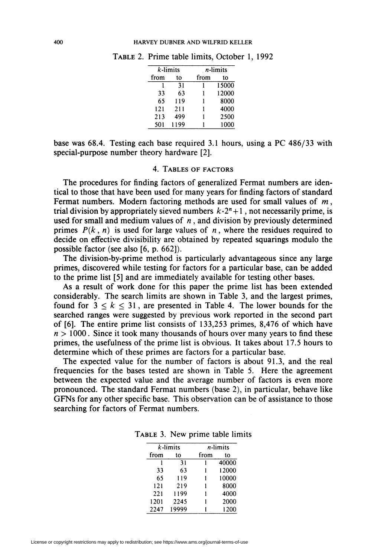|      | $k$ -limits | $n$ -limits |       |  |  |
|------|-------------|-------------|-------|--|--|
| from | to          | from        | tο    |  |  |
|      | 31          |             | 15000 |  |  |
| 33   | 63          | 1           | 12000 |  |  |
| 65   | 119         | 1           | 8000  |  |  |
| 121  | 211         |             | 4000  |  |  |
| 213  | 499         |             | 2500  |  |  |
| 501  | 1199        |             | 1000  |  |  |

Table 2. Prime table limits, October 1, 1992

base was 68.4. Testing each base required 3.1 hours, using a PC 486/33 with special-purpose number theory hardware [2].

### 4. Tables of factors

The procedures for finding factors of generalized Fermat numbers are identical to those that have been used for many years for finding factors of standard Fermat numbers. Modern factoring methods are used for small values of  $m$ , trial division by appropriately sieved numbers  $k \cdot 2^n + 1$ , not necessarily prime, is used for small and medium values of  $n$ , and division by previously determined primes  $P(k, n)$  is used for large values of n, where the residues required to decide on effective divisibility are obtained by repeated squarings modulo the possible factor (see also [6, p. 662]).

The division-by-prime method is particularly advantageous since any large primes, discovered while testing for factors for a particular base, can be added to the prime list [5] and are immediately available for testing other bases.

As a result of work done for this paper the prime list has been extended considerably. The search limits are shown in Table 3, and the largest primes, found for  $3 \leq k \leq 31$ , are presented in Table 4. The lower bounds for the searched ranges were suggested by previous work reported in the second part of [6]. The entire prime list consists of 133,253 primes, 8,476 of which have  $n > 1000$ . Since it took many thousands of hours over many years to find these primes, the usefulness of the prime list is obvious. It takes about 17.5 hours to determine which of these primes are factors for a particular base.

The expected value for the number of factors is about 91.3, and the real frequencies for the bases tested are shown in Table 5. Here the agreement between the expected value and the average number of factors is even more pronounced. The standard Fermât numbers (base 2), in particular, behave like GFNs for any other specific base. This observation can be of assistance to those searching for factors of Fermat numbers.

|      | $k$ -limits | n-limits |       |  |  |
|------|-------------|----------|-------|--|--|
| from | to          | from     | to    |  |  |
|      | 31          |          | 40000 |  |  |
| 33   | 63          |          | 12000 |  |  |
| 65   | 119         |          | 10000 |  |  |
| 121  | 219         |          | 8000  |  |  |
| 221  | 1199        |          | 4000  |  |  |
| 1201 | 2245        |          | 2000  |  |  |
| 2247 | 19999       |          | 1200  |  |  |

Table 3. New prime table limits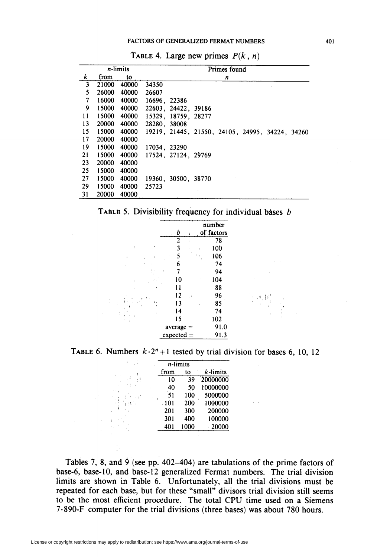| $n$ -limits |       |             | Primes found                                    |
|-------------|-------|-------------|-------------------------------------------------|
| k           | from  | to          | n                                               |
| 3           |       | 21000 40000 | 34350                                           |
| 5           | 26000 | 40000       | 26607                                           |
| 7           |       | 16000 40000 | 16696, 22386                                    |
| 9           |       | 15000 40000 | 22603, 24422, 39186                             |
| 11          |       | 15000 40000 | 15329, 18759, 28277                             |
| 13          |       | 20000 40000 | 28280, 38008                                    |
| 15          |       | 15000 40000 | 19219, 21445, 21550, 24105, 24995, 34224, 34260 |
| 17          | 20000 | 40000       |                                                 |
| 19          |       | 15000 40000 | 17034, 23290                                    |
| 21          |       | 15000 40000 | 17524, 27124, 29769                             |
| 23          | 20000 | 40000       |                                                 |
| 25          | 15000 | 40000       |                                                 |
| 27          | 15000 | 40000       | 19360, 30500, 38770                             |
| 29          | 15000 | 40000       | 25723                                           |
| 31          | 20000 | 40000       |                                                 |

TABLE 4. Large new primes  $P(k, n)$ 



|   | b              | number<br>of factors |
|---|----------------|----------------------|
|   | $\overline{2}$ | 78                   |
| ł | 3              | 100                  |
| ł | 5              | 106                  |
|   | 6              | 74                   |
|   | 7<br>ł         | 94                   |
| ł | 10             | 104                  |
|   | 11             | 88                   |
|   | 12<br>- 1      | 96                   |
|   | 13             | 85                   |
|   | 14             | 74                   |
|   | 15             | 102                  |
|   | $average =$    | 91.0                 |
|   | $expected =$   | 91.3                 |

TABLE 6. Numbers  $k \cdot 2^n + 1$  tested by trial division for bases 6, 10, 12

:-Wl

|   | <i>n</i> -limits |      |             |
|---|------------------|------|-------------|
| ł | from             | to   | $k$ -limits |
|   | 10               | 39   | 20000000    |
|   | 40               | 50   | 10000000    |
|   | 51               | 100  | 5000000     |
|   | .101             | 200  | 1000000     |
|   | 201              | 300  | 200000      |
|   | $-301$           | 400  | 100000      |
|   | 401              | 1000 | 20000       |

Tables 7, 8, and 9 (see pp. 402-404) are tabulations of the prime factors of base-6, base-10, and base-12 generalized Fermat numbers. The trial division limits are shown in Table 6. Unfortunately, all the trial divisions must be repeated for each base, but for these "small" divisors trial division still seems to be the most efficient procedure. The total CPU time used on a Siemens 7-890-F computer for the trial divisions (three bases) was about 780 hours.

■ .

i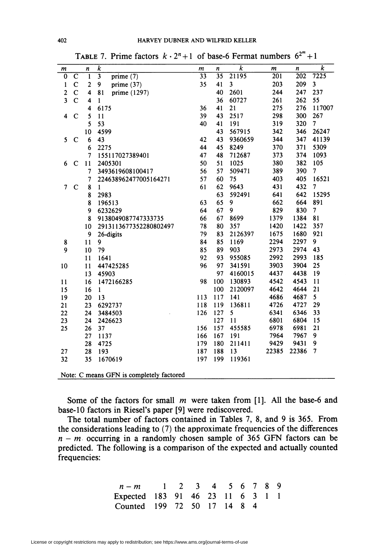| m                       |                                          | n                       | $\overline{k}$                         | m   | n   | k       | m     | $\pmb{n}$ | k              |  |
|-------------------------|------------------------------------------|-------------------------|----------------------------------------|-----|-----|---------|-------|-----------|----------------|--|
| $\bf{0}$                | $\mathbf C$                              | ī                       | $\overline{\mathbf{3}}$<br>prime $(7)$ | 33  | 35  | 21195   | 201   | 202       | 7225           |  |
| $\mathbf{1}$            | C                                        | $\overline{\mathbf{c}}$ | 9<br>prime $(37)$                      | 35  | 41  | 3       | 203   | 209       | 3              |  |
| $\mathbf{2}$            | $\mathbf C$                              | 4                       | 81<br>prime (1297)                     |     | 40  | 2601    | 244   | 247       | 237            |  |
| $\overline{\mathbf{3}}$ | $\overline{C}$                           | $\overline{\mathbf{4}}$ | $\mathbf{1}$                           |     | 36  | 60727   | 261   | 262       | 55             |  |
|                         |                                          | $\overline{\mathbf{4}}$ | 6175                                   | 36  | 41  | 21      | 275   | 276       | 117007         |  |
| 4                       | $\mathbf C$                              | 5                       | 11                                     | 39  | 43  | 2517    | 298   | 300       | 267            |  |
|                         |                                          | 5                       | 53                                     | 40  | 41  | 191     | 319   | 320       | 7              |  |
|                         |                                          | 10                      | 4599                                   |     | 43  | 567915  | 342   | 346       | 26247          |  |
| 5                       | $\mathbf C$                              | 6                       | 43                                     | 42  | 43  | 9360659 | 344   | 347       | 41139          |  |
|                         |                                          | 6                       | 2275                                   | 44  | 45  | 8249    | 370   | 371       | 5309           |  |
|                         |                                          | $\overline{7}$          | 155117027389401                        | 47  | 48  | 712687  | 373   | 374       | 1093           |  |
| 6                       | $\mathbf C$                              | 11                      | 2405301                                | 50  | 51  | 1025    | 380   | 382       | 105            |  |
|                         |                                          | 7                       | 3493619608100417                       | 56  | 57  | 509471  | 389   | 390       | 7              |  |
|                         |                                          | 7                       | 224638962477005164271                  | 57  | 60  | 75      | 403   | 405       | 16521          |  |
| 7                       | $\mathbf C$                              | 8                       | $\mathbf{1}$                           | 61  | 62  | 9643    | 431   | 432       | 7              |  |
|                         |                                          | 8                       | 2983                                   |     | 63  | 592491  | 641   | 642       | 15295          |  |
|                         |                                          | 8                       | 196513                                 | 63  | 65  | 9       | 662   | 664       | 891            |  |
|                         |                                          | 9                       | 6232629                                | 64  | 67  | 9       | 829   | 830       | $\overline{7}$ |  |
|                         |                                          | 8                       | 9138049087747333735                    | 66  | 67  | 8699    | 1379  | 1384      | 81             |  |
|                         |                                          | 10                      | 2913113677352280802497                 | 78  | 80  | 357     | 1420  | 1422      | 357            |  |
|                         |                                          | 9                       | 26-digits                              | 79  | 83  | 2126397 | 1675  | 1680      | 921            |  |
| 8                       |                                          | 11                      | 9                                      | 84  | 85  | 1169    | 2294  | 2297      | 9              |  |
| 9                       |                                          | 10                      | 79                                     | 85  | 89  | 903     | 2973  | 2974      | 43             |  |
|                         |                                          | 11                      | 1641                                   | 92  | 93  | 955085  | 2992  | 2993      | 185            |  |
| 10                      |                                          | 11                      | 447425285                              | 96  | 97  | 341591  | 3903  | 3904      | 25             |  |
|                         |                                          | 13                      | 45903                                  |     | 97  | 4160015 | 4437  | 4438      | 19             |  |
| 11                      |                                          | 16                      | 1472166285                             | 98  | 100 | 130893  | 4542  | 4543      | 11             |  |
| 15                      |                                          | 16                      | $\mathbf{1}$                           |     | 100 | 2120097 | 4642  | 4644      | 21             |  |
| 19                      |                                          | 20                      | 13                                     | 113 | 117 | 141     | 4686  | 4687      | 5              |  |
| 21                      |                                          | 23                      | 6292737                                | 118 | 119 | 136811  | 4726  | 4727      | 29             |  |
| 22                      |                                          | 24                      | 3484503                                | 126 | 127 | 5       | 6341  | 6346      | 33             |  |
| 23                      |                                          | 24                      | 2426623                                |     | 127 | 11      | 6801  | 6804      | 15             |  |
| 25                      |                                          | 26                      | 37                                     | 156 | 157 | 455585  | 6978  | 6981      | 21             |  |
|                         |                                          | 27                      | 1137                                   | 166 | 167 | 191     | 7964  | 7967      | 9              |  |
|                         |                                          | 28                      | 4725                                   | 179 | 180 | 211411  | 9429  | 9431      | 9              |  |
| 27                      |                                          | 28                      | 193                                    | 187 | 188 | 13      | 22385 | 22386     | 7              |  |
| 32                      |                                          | 35                      | 1670619                                | 197 | 199 | 119361  |       |           |                |  |
|                         | Note: C means GFN is completely factored |                         |                                        |     |     |         |       |           |                |  |

TABLE 7. Prime factors  $k \cdot 2^n + 1$  of base-6 Fermat numbers  $6^{2^m} + 1$ 

Some of the factors for small  $m$  were taken from [1]. All the base-6 and base-10 factors in Riesel's paper [9] were rediscovered.

The total number of factors contained in Tables 7, 8, and 9 is 365. From the considerations leading to (7) the approximate frequencies of the differences  $n - m$  occurring in a randomly chosen sample of 365 GFN factors can be predicted. The following is a comparison of the expected and actually counted frequencies:

| $n-m$ 1 2 3 4 5 6 7 8 9          |  |  |  |  |  |
|----------------------------------|--|--|--|--|--|
| Expected 183 91 46 23 11 6 3 1 1 |  |  |  |  |  |
| Counted 199 72 50 17 14 8 4      |  |  |  |  |  |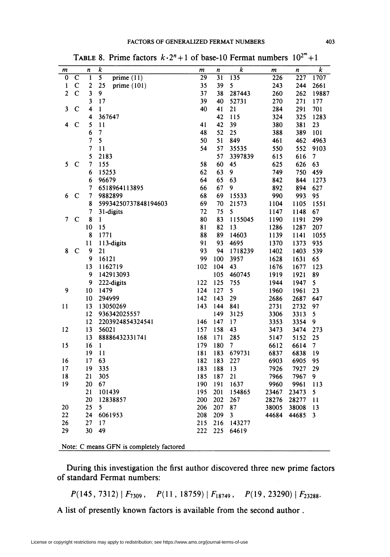| m              |                       | n                        | k                                       | m   | n   | $\boldsymbol{k}$        | m     | $\pmb n$ | $\overline{k}$ |
|----------------|-----------------------|--------------------------|-----------------------------------------|-----|-----|-------------------------|-------|----------|----------------|
| $\overline{0}$ | $\overline{\text{c}}$ | 1                        | $\overline{\mathbf{s}}$<br>prime $(11)$ | 29  | 31  | 135                     | 226   | 227      | 1707           |
| 1              | $\mathbf C$           | $\overline{\mathbf{c}}$  | 25<br>prime $(101)$                     | 35  | 39  | 5                       | 243   | 244      | 2661           |
| $\overline{c}$ | $\mathbf C$           | $\overline{\mathbf{3}}$  | 9                                       | 37  | 38  | 287443                  | 260   | 262      | 19887          |
|                |                       | $\overline{\mathbf{3}}$  | 17                                      | 39  | 40  | 52731                   | 270   | 271      | 177            |
| 3              | $\mathbf C$           | 4                        | $\mathbf{1}$                            | 40  | 41  | 21                      | 284   | 291      | 701            |
|                |                       | 4                        | 367647                                  |     | 42  | 115                     | 324   | 325      | 1283           |
| 4              | $\mathbf C$           | 5                        | 11                                      | 41  | 42  | 39                      | 380   | 381      | 23             |
|                |                       | 6                        | $\overline{7}$                          | 48  | 52  | 25                      | 388   | 389      | 101            |
|                |                       | 7                        | 5                                       | 50  | 51  | 849                     | 461   | 462      | 4963           |
|                |                       | 7                        | 11                                      | 54  | 57  | 35535                   | 550   | 552      | 9103           |
|                |                       | 5                        | 2183                                    |     | 57  | 3397839                 | 615   | 616      | 7              |
| 5              | $\mathbf C$           | $\overline{\phantom{a}}$ | 155                                     | 58  | 60  | 45                      | 625   | 626      | 63             |
|                |                       | 6                        | 15253                                   | 62  | 63  | 9                       | 749   | 750      | 459            |
|                |                       | 6                        | 96679                                   | 64  | 65  | 63                      | 842   | 844      | 1273           |
|                |                       | $\overline{\mathcal{I}}$ | 6518964113895                           | 66  | 67  | 9                       | 892   | 894      | 627            |
| 6              | $\mathbf C$           | 7                        | 9882899                                 | 68  | 69  | 15533                   | 990   | 993      | 95             |
|                |                       | 8                        | 59934250737848194603                    | 69  | 70  | 21573                   | 1104  | 1105     | 1551           |
|                |                       | 7                        | 31-digits                               | 72  | 75  | 5                       | 1147  | 1148     | 67             |
| 7              | $\mathbf C$           | 8                        | $\mathbf{1}$                            | 80  | 83  | 1155045                 | 1190  | 1191     | 299            |
|                |                       | 10                       | 15                                      | 81  | 82  | 13                      | 1286  | 1287     | 207            |
|                |                       | 8                        | 1771                                    | 88  | 89  | 14603                   | 1139  | 1141     | 1055           |
|                |                       | 11                       | 113-digits                              | 91  | 93  | 4695                    | 1370  | 1373     | 935            |
| 8              | $\mathbf C$           | 9                        | 21                                      | 93  | 94  | 1718239                 | 1402  | 1403     | 539            |
|                |                       | 9                        | 16121                                   | 99  | 100 | 3957                    | 1628  | 1631     | 65             |
|                |                       | 13                       | 1162719                                 | 102 | 104 | 43                      | 1676  | 1677     | 123            |
|                |                       | 9                        | 142913093                               |     | 105 | 460745                  | 1919  | 1921     | 89             |
|                |                       | 9                        | 222-digits                              | 122 | 125 | 755                     | 1944  | 1947     | 5              |
| 9              |                       | 10                       | 1479                                    | 124 | 127 | 5                       | 1960  | 1961     | 23             |
|                |                       | 10                       | 294999                                  | 142 | 143 | 29                      | 2686  | 2687     | 647            |
| 11             |                       | 13                       | 13050269                                | 143 | 144 | 841                     | 2731  | 2732     | 97             |
|                |                       | 12                       | 936342025557                            |     | 149 | 3125                    | 3306  | 3313     | 5              |
|                |                       | 12                       | 2203924854324541                        | 146 | 147 | 17                      | 3353  | 3354     | 9              |
| 12             |                       | 13                       | 56021                                   | 157 | 158 | 43                      | 3473  | 3474     | 273            |
|                |                       | 13                       | 88886432331741                          | 168 | 171 | 285                     | 5147  | 5152     | 25             |
| 15             |                       | 16                       | $\mathbf{1}$                            | 179 | 180 | 7                       | 6612  | 6614     | 7              |
|                |                       | 19                       | 11                                      | 181 | 183 | 679731                  | 6837  | 6838     | 19             |
| 16             |                       | 17                       | 63                                      | 182 | 183 | 227                     | 6903  | 6905     | 95             |
| 17             |                       | 19                       | 335                                     | 183 | 188 | 13                      | 7926  | 7927     | 29             |
| 18             |                       | 21                       | 305                                     | 185 | 187 | 21                      | 7966  | 7967     | 9              |
| 19             |                       | 20                       | 67                                      | 190 | 191 | 1637                    | 9960  | 9961     | 113            |
|                |                       | 21                       | 101439                                  | 195 | 201 | 154865                  | 23467 | 23473    | 5              |
|                |                       | 20                       | 12838857                                | 200 | 202 | 267                     | 28276 | 28277    | 11             |
| 20             |                       | 25                       | 5                                       | 206 | 207 | 87                      | 38005 | 38008    | 13             |
| 22             |                       | 24                       | 6061953                                 | 208 | 209 | $\overline{\mathbf{3}}$ | 44684 | 44685    | 3              |
| 26             |                       | 27                       | 17                                      | 215 | 216 | 143277                  |       |          |                |
| 29             |                       | 30                       | 49                                      | 222 | 225 | 64619                   |       |          |                |
|                |                       |                          |                                         |     |     |                         |       |          |                |
|                | ∽                     |                          | <del>.</del>                            |     |     |                         |       |          |                |

TABLE 8. Prime factors  $k \cdot 2^n + 1$  of base-10 Fermat numbers  $10^{2^m} + 1$ 

Note: C means GFN is completely factored

During this investigation the first author discovered three new prime factors of standard Fermat numbers:

 $P(145, 7312) | F_{7309}, P(11, 18759) | F_{18749}, P(19, 23290) | F_{23288}.$ 

A list of presently known factors is available from the second author .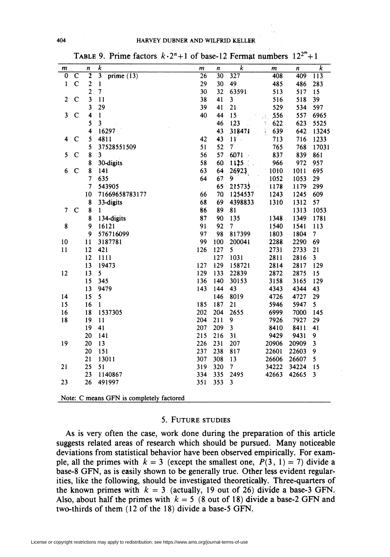| m                       |             | n                       | $\overline{k}$                            | $\boldsymbol{m}$ | n   | $\overline{k}$ | $\boldsymbol{m}$      | n     | $\overline{k}$          |
|-------------------------|-------------|-------------------------|-------------------------------------------|------------------|-----|----------------|-----------------------|-------|-------------------------|
| $\bf{0}$                | $\mathbf C$ | $\overline{\mathbf{2}}$ | $\overline{\overline{3}}$<br>prime $(13)$ | 26               | 30  | 327            | 408                   | 409   | 113                     |
| $\mathbf{1}$            | $\mathbf C$ | $\boldsymbol{2}$        | $\mathbf{1}$                              | 29               | 30  | 49             | 485                   | 486   | 283                     |
|                         |             | $\overline{\mathbf{c}}$ | $\overline{7}$                            | 30               | 32  | 63591          | 513                   | 517   | 15                      |
| $\overline{\mathbf{c}}$ | $\mathbf C$ | $\overline{\mathbf{3}}$ | 11                                        | 38               | 41  | 3              | 516                   | 518   | 39                      |
|                         |             | 3                       | 29                                        | 39               | 41  | 21             | 529                   | 534   | 597                     |
| 3                       | $\mathbf C$ | 4                       | $\mathbf{1}$                              | 40               | 44  | 15             | 556                   | 557   | 6965                    |
|                         |             | 5                       | $\overline{\mathbf{3}}$                   |                  | 46  | 123            | 622<br>$\ddot{\cdot}$ | 623   | 5525                    |
|                         |             | $\overline{\bf{4}}$     | 16297                                     |                  | 43  | 318471         | 639                   | 642   | 13245                   |
| 4                       | $\mathbf C$ | 5                       | 4811                                      | 42               | 43  | $11$ .         | 713                   | 716   | 1233                    |
|                         |             | 5                       | 37528551509                               | 51               | 52  | $\overline{7}$ | 765                   | 768   | 17031                   |
| 5                       | $\mathbf C$ | 8                       | 3                                         | 56               | 57  | 6071           | 837                   | 839   | 861                     |
|                         |             | 8                       | 30-digits                                 | 58               | :60 | 1125           | 966                   | 972   | 957                     |
| 6                       | $\mathbf C$ | 8                       | 141                                       | 63               | 64  | 26923          | 1010                  | 1011  | 695                     |
|                         |             | 7                       | 635                                       | 64               | 67  | 9              | 1052                  | 1053  | 29                      |
|                         |             | 7                       | 543905                                    |                  | 65  | 215735         | 1178                  | 1179  | 299                     |
|                         |             | 10                      | 71669658783177                            | 66               | 70  | 1254537        | 1243                  | 1245  | 609                     |
|                         |             | 8                       | 33-digits                                 | 68               | 69  | 4398833        | 1310                  | 1312  | 57                      |
| $\overline{7}$          | $\mathbf C$ | 8                       | $\mathbf{1}$                              | 86               | 89  | 81             |                       | 1313  | 1053                    |
|                         |             | 8                       | 134-digits                                | 87               | 90  | 135            | 1348                  | 1349  | 1781                    |
| 8                       |             | 9                       | 16121                                     | 91               | 92  | $\overline{7}$ | 1540                  | 1541  | 113                     |
|                         |             | 9                       | 576716099                                 | 97               | 98  | 817399         | 1803                  | 1804  | $\overline{7}$          |
| 10                      |             | 11                      | 3187781                                   | 99               | 100 | 200041         | 2288                  | 2290  | 69                      |
| 11                      |             | 12                      | 421                                       | 126              | 127 | 5              | 2731                  | 2733  | 21                      |
|                         |             | 12                      | 1111                                      |                  | 127 | 1031           | 2811                  | 2816  | $\overline{\mathbf{3}}$ |
|                         |             | 13                      | 19473                                     | 127              | 129 | 158721         | 2814                  | 2817  | 129                     |
| 12                      |             | 13                      | 5                                         | 129              | 133 | 22839          | 2872                  | 2875  | 15                      |
|                         |             | 15                      | 345                                       | 136              | 140 | 30153          | 3158                  | 3165  | 129                     |
|                         |             | 13                      | 9479                                      | 143              | 144 | 43             | 4343                  | 4344  | 43                      |
| 14                      |             | 15                      | 5                                         |                  | 146 | 8019           | 4726                  | 4727  | 29                      |
| 15                      |             | 16                      | $\mathbf{1}$                              | 185              | 187 | 21             | 5946                  | 5947  | 5                       |
| 16                      |             | 18                      | 1537305                                   | 202              | 204 | 2655           | 6999                  | 7000  | 145                     |
| 18                      |             | 19                      | 11                                        | 204              | 211 | 9              | 7926                  | 7927  | 29                      |
|                         |             | 19                      | 41                                        | 207              | 209 | 3              | 8410                  | 8411  | 41                      |
|                         |             | 20                      | 141                                       | 215              | 216 | 31             | 9429                  | 9431  | 9                       |
| 19                      |             | 20                      | 13                                        | 226              | 231 | 207            | 20906                 | 20909 | 3                       |
|                         |             | 20                      | 151                                       | 237              | 238 | 817            | 22601                 | 22603 | 9                       |
|                         |             | 21                      | 13011                                     | 307              | 308 | 13             | 26606                 | 26607 | 5                       |
| 21                      |             | 25                      | 51                                        | 319              | 320 | 7              | 34222                 | 34224 | 15                      |
|                         |             | 23                      | 1140867                                   | 334              | 335 | 2495           | 42663                 | 42665 | $\mathbf{3}$            |
| 23                      |             | 26                      | 491997                                    | 351              | 353 | 3              |                       |       |                         |
|                         |             |                         | Note: C means GFN is completely factored  |                  |     |                |                       |       |                         |

TABLE 9. Prime factors  $k \cdot 2^n + 1$  of base-12 Fermat numbers  $12^{2^m}+1$ 

## 5. Future studies

As is very often the case, work done during the preparation of this article suggests related areas of research which should be pursued. Many noticeable deviations from statistical behavior have been observed empirically. For example, all the primes with  $k = 3$  (except the smallest one,  $P(3, 1) = 7$ ) divide a base-8 GFN, as is easily shown to be generally true. Other less evident regularities, like the following, should be investigated theoretically. Three-quarters of the known primes with  $k = 3$  (actually, 19 out of 26) divide a base-3 GFN. Also, about half the primes with  $k = 5$  (8 out of 18) divide a base-2 GFN and two-thirds of them (12 of the 18) divide a base-5 GFN.